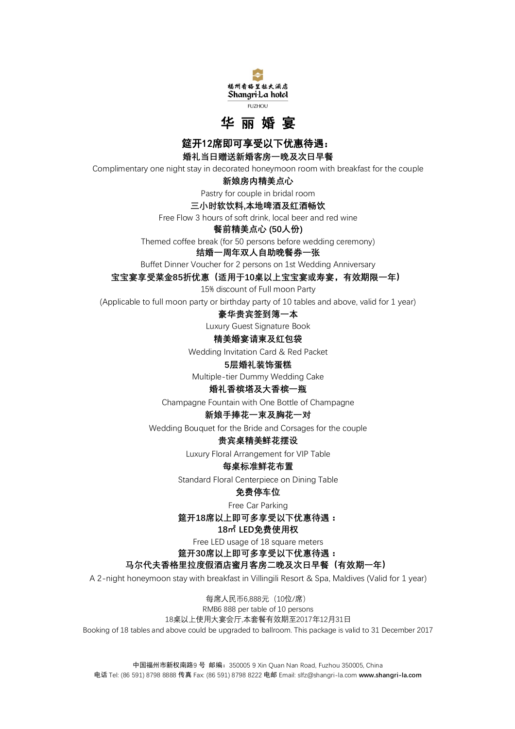



**筵开12席即可享受以下优惠待遇:** 

**婚礼当日赠送新婚客房一晚及次日早餐**

Complimentary one night stay in decorated honeymoon room with breakfast for the couple

**新娘房内精美点心**

Pastry for couple in bridal room

### **三小时软饮料,本地啤酒及红酒畅饮**

Free Flow 3 hours of soft drink, local beer and red wine

**餐前精美点心 (50人份)**

Themed coffee break (for 50 persons before wedding ceremony)

# **结婚一周年双人自助晚餐券一张**

Buffet Dinner Voucher for 2 persons on 1st Wedding Anniversary

**宝宝宴享受菜金85折优惠(适用于10桌以上宝宝宴或寿宴,有效期限一年)**

15% discount of Full moon Party

(Applicable to full moon party or birthday party of 10 tables and above, valid for 1 year)

### **豪华贵宾签到簿一本**

Luxury Guest Signature Book

### **精美婚宴请柬及红包袋**

Wedding Invitation Card & Red Packet

# **5层婚礼装饰蛋糕**

Multiple-tier Dummy Wedding Cake

#### **婚礼香槟塔及大香槟一瓶**

Champagne Fountain with One Bottle of Champagne

# **新娘手捧花一束及胸花一对**

Wedding Bouquet for the Bride and Corsages for the couple

# **贵宾桌精美鲜花摆设**

Luxury Floral Arrangement for VIP Table

# **每桌标准鲜花布置**

Standard Floral Centerpiece on Dining Table

# **免费停车位**

Free Car Parking

**筵开18席以上即可多享受以下优惠待遇:**

# **18㎡ LED免费使用权**

Free LED usage of 18 square meters

**筵开30席以上即可多享受以下优惠待遇:**

# **马尔代夫香格里拉度假酒店蜜月客房二晚及次日早餐(有效期一年)**

A 2-night honeymoon stay with breakfast in Villingili Resort & Spa, Maldives (Valid for 1 year)

每席人民币6,888元(10位/席) RMB6 888 per table of 10 persons 18桌以上使用大宴会厅,本套餐有效期至2017年12月31日 Booking of 18 tables and above could be upgraded to ballroom. This package is valid to 31 December 2017